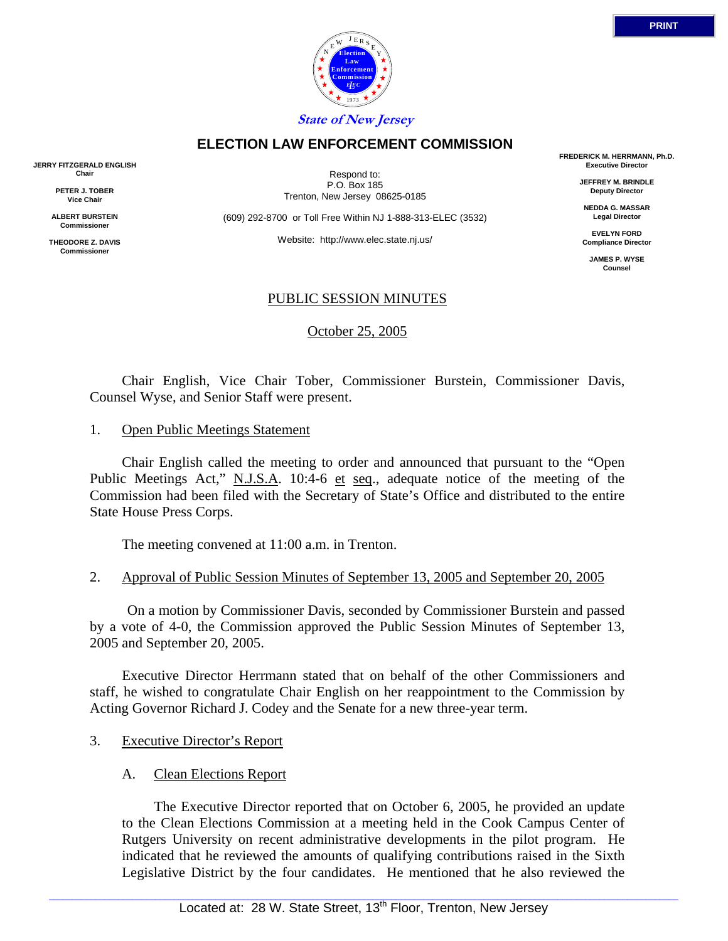

**ELECTION LAW ENFORCEMENT COMMISSION**

**JERRY FITZGERALD ENGLISH Chair**

> **PETER J. TOBER Vice Chair**

**ALBERT BURSTEIN Commissioner**

**THEODORE Z. DAVIS Commissione** 

Respond to: P.O. Box 185 Trenton, New Jersey 08625-0185

(609) 292-8700 or Toll Free Within NJ 1-888-313-ELEC (3532)

Website: http://www.elec.state.nj.us/

**FREDERICK M. HERRMANN, Ph.D. Executive Director**

> **JEFFREY M. BRINDLE Deputy Director**

**NEDDA G. MASSAR Legal Director**

**EVELYN FORD Compliance Director**

**JAMES P. WYSE Counsel**

# PUBLIC SESSION MINUTES

October 25, 2005

 Chair English, Vice Chair Tober, Commissioner Burstein, Commissioner Davis, Counsel Wyse, and Senior Staff were present.

1. Open Public Meetings Statement

 Chair English called the meeting to order and announced that pursuant to the "Open Public Meetings Act," N.J.S.A. 10:4-6 et seq., adequate notice of the meeting of the Commission had been filed with the Secretary of State's Office and distributed to the entire State House Press Corps.

The meeting convened at 11:00 a.m. in Trenton.

2. Approval of Public Session Minutes of September 13, 2005 and September 20, 2005

 On a motion by Commissioner Davis, seconded by Commissioner Burstein and passed by a vote of 4-0, the Commission approved the Public Session Minutes of September 13, 2005 and September 20, 2005.

 Executive Director Herrmann stated that on behalf of the other Commissioners and staff, he wished to congratulate Chair English on her reappointment to the Commission by Acting Governor Richard J. Codey and the Senate for a new three-year term.

- 3. Executive Director's Report
	- A. Clean Elections Report

 The Executive Director reported that on October 6, 2005, he provided an update to the Clean Elections Commission at a meeting held in the Cook Campus Center of Rutgers University on recent administrative developments in the pilot program. He indicated that he reviewed the amounts of qualifying contributions raised in the Sixth Legislative District by the four candidates. He mentioned that he also reviewed the

 $\Box$  . The contribution of the contribution of the contribution of the contribution of the contribution of the contribution of the contribution of the contribution of the contribution of the contribution of the contributi

Located at: 28 W. State Street, 13<sup>th</sup> Floor, Trenton, New Jersey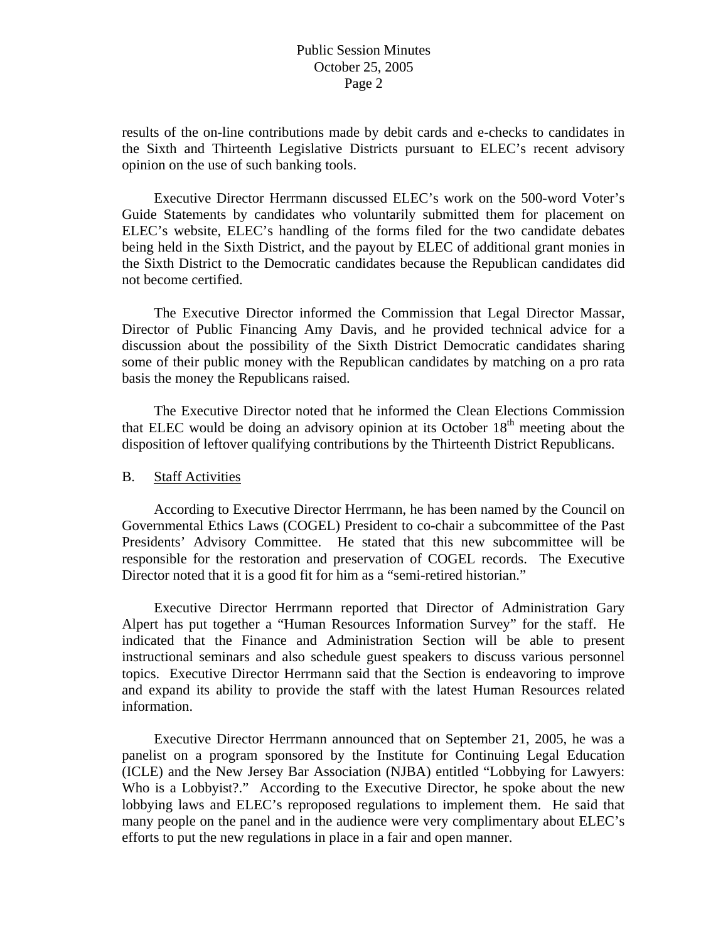results of the on-line contributions made by debit cards and e-checks to candidates in the Sixth and Thirteenth Legislative Districts pursuant to ELEC's recent advisory opinion on the use of such banking tools.

 Executive Director Herrmann discussed ELEC's work on the 500-word Voter's Guide Statements by candidates who voluntarily submitted them for placement on ELEC's website, ELEC's handling of the forms filed for the two candidate debates being held in the Sixth District, and the payout by ELEC of additional grant monies in the Sixth District to the Democratic candidates because the Republican candidates did not become certified.

 The Executive Director informed the Commission that Legal Director Massar, Director of Public Financing Amy Davis, and he provided technical advice for a discussion about the possibility of the Sixth District Democratic candidates sharing some of their public money with the Republican candidates by matching on a pro rata basis the money the Republicans raised.

 The Executive Director noted that he informed the Clean Elections Commission that ELEC would be doing an advisory opinion at its October  $18<sup>th</sup>$  meeting about the disposition of leftover qualifying contributions by the Thirteenth District Republicans.

#### B. Staff Activities

 According to Executive Director Herrmann, he has been named by the Council on Governmental Ethics Laws (COGEL) President to co-chair a subcommittee of the Past Presidents' Advisory Committee. He stated that this new subcommittee will be responsible for the restoration and preservation of COGEL records. The Executive Director noted that it is a good fit for him as a "semi-retired historian."

 Executive Director Herrmann reported that Director of Administration Gary Alpert has put together a "Human Resources Information Survey" for the staff. He indicated that the Finance and Administration Section will be able to present instructional seminars and also schedule guest speakers to discuss various personnel topics. Executive Director Herrmann said that the Section is endeavoring to improve and expand its ability to provide the staff with the latest Human Resources related information.

 Executive Director Herrmann announced that on September 21, 2005, he was a panelist on a program sponsored by the Institute for Continuing Legal Education (ICLE) and the New Jersey Bar Association (NJBA) entitled "Lobbying for Lawyers: Who is a Lobbyist?." According to the Executive Director, he spoke about the new lobbying laws and ELEC's reproposed regulations to implement them. He said that many people on the panel and in the audience were very complimentary about ELEC's efforts to put the new regulations in place in a fair and open manner.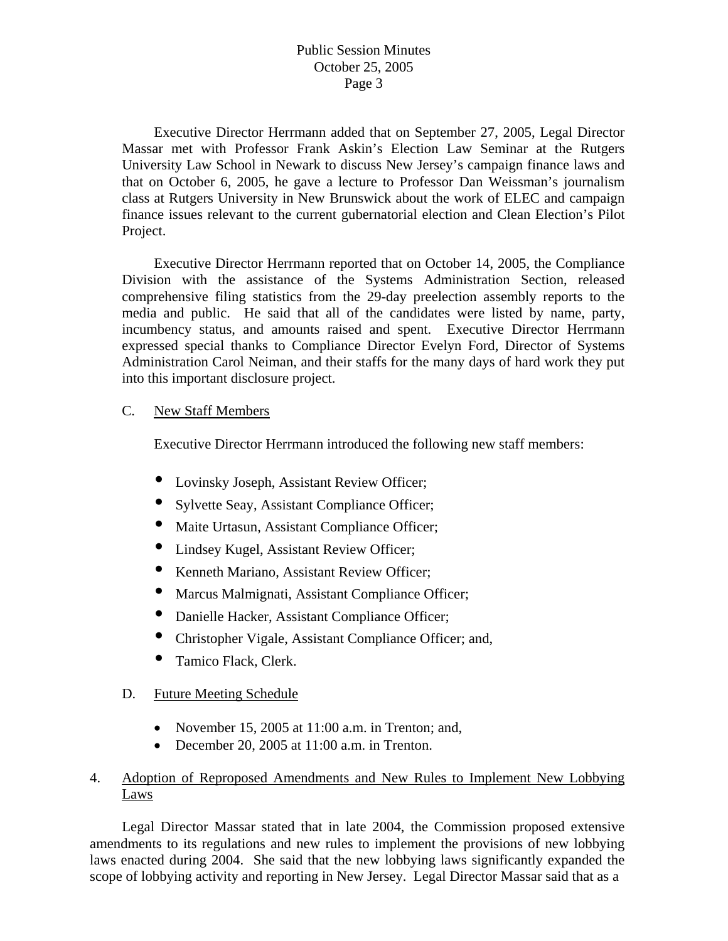Executive Director Herrmann added that on September 27, 2005, Legal Director Massar met with Professor Frank Askin's Election Law Seminar at the Rutgers University Law School in Newark to discuss New Jersey's campaign finance laws and that on October 6, 2005, he gave a lecture to Professor Dan Weissman's journalism class at Rutgers University in New Brunswick about the work of ELEC and campaign finance issues relevant to the current gubernatorial election and Clean Election's Pilot Project.

 Executive Director Herrmann reported that on October 14, 2005, the Compliance Division with the assistance of the Systems Administration Section, released comprehensive filing statistics from the 29-day preelection assembly reports to the media and public. He said that all of the candidates were listed by name, party, incumbency status, and amounts raised and spent. Executive Director Herrmann expressed special thanks to Compliance Director Evelyn Ford, Director of Systems Administration Carol Neiman, and their staffs for the many days of hard work they put into this important disclosure project.

#### C. New Staff Members

Executive Director Herrmann introduced the following new staff members:

- Lovinsky Joseph, Assistant Review Officer;
- Sylvette Seay, Assistant Compliance Officer;
- $\bullet$  Maite Urtasun, Assistant Compliance Officer;
- Lindsey Kugel, Assistant Review Officer;
- Kenneth Mariano, Assistant Review Officer;
- Marcus Malmignati, Assistant Compliance Officer;
- Danielle Hacker, Assistant Compliance Officer;
- Christopher Vigale, Assistant Compliance Officer; and,
- Tamico Flack, Clerk.

# D. Future Meeting Schedule

- November 15, 2005 at 11:00 a.m. in Trenton; and,
- December 20, 2005 at 11:00 a.m. in Trenton.
- 4. Adoption of Reproposed Amendments and New Rules to Implement New Lobbying Laws

 Legal Director Massar stated that in late 2004, the Commission proposed extensive amendments to its regulations and new rules to implement the provisions of new lobbying laws enacted during 2004. She said that the new lobbying laws significantly expanded the scope of lobbying activity and reporting in New Jersey. Legal Director Massar said that as a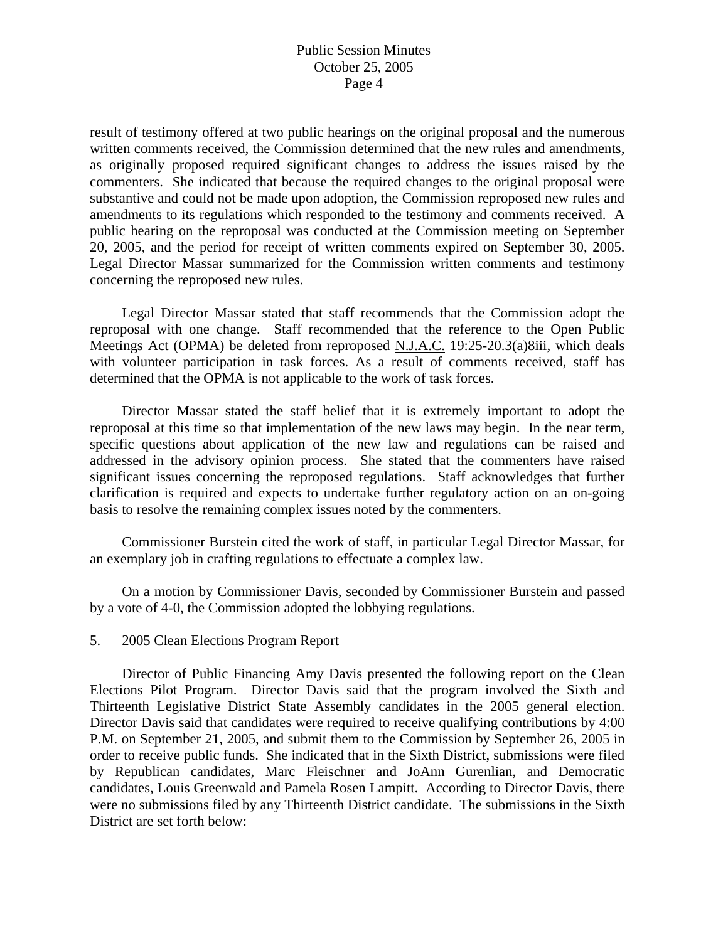result of testimony offered at two public hearings on the original proposal and the numerous written comments received, the Commission determined that the new rules and amendments, as originally proposed required significant changes to address the issues raised by the commenters. She indicated that because the required changes to the original proposal were substantive and could not be made upon adoption, the Commission reproposed new rules and amendments to its regulations which responded to the testimony and comments received. A public hearing on the reproposal was conducted at the Commission meeting on September 20, 2005, and the period for receipt of written comments expired on September 30, 2005. Legal Director Massar summarized for the Commission written comments and testimony concerning the reproposed new rules.

 Legal Director Massar stated that staff recommends that the Commission adopt the reproposal with one change. Staff recommended that the reference to the Open Public Meetings Act (OPMA) be deleted from reproposed N.J.A.C. 19:25-20.3(a)8iii, which deals with volunteer participation in task forces. As a result of comments received, staff has determined that the OPMA is not applicable to the work of task forces.

 Director Massar stated the staff belief that it is extremely important to adopt the reproposal at this time so that implementation of the new laws may begin. In the near term, specific questions about application of the new law and regulations can be raised and addressed in the advisory opinion process. She stated that the commenters have raised significant issues concerning the reproposed regulations. Staff acknowledges that further clarification is required and expects to undertake further regulatory action on an on-going basis to resolve the remaining complex issues noted by the commenters.

 Commissioner Burstein cited the work of staff, in particular Legal Director Massar, for an exemplary job in crafting regulations to effectuate a complex law.

 On a motion by Commissioner Davis, seconded by Commissioner Burstein and passed by a vote of 4-0, the Commission adopted the lobbying regulations.

#### 5. 2005 Clean Elections Program Report

 Director of Public Financing Amy Davis presented the following report on the Clean Elections Pilot Program. Director Davis said that the program involved the Sixth and Thirteenth Legislative District State Assembly candidates in the 2005 general election. Director Davis said that candidates were required to receive qualifying contributions by 4:00 P.M. on September 21, 2005, and submit them to the Commission by September 26, 2005 in order to receive public funds. She indicated that in the Sixth District, submissions were filed by Republican candidates, Marc Fleischner and JoAnn Gurenlian, and Democratic candidates, Louis Greenwald and Pamela Rosen Lampitt. According to Director Davis, there were no submissions filed by any Thirteenth District candidate. The submissions in the Sixth District are set forth below: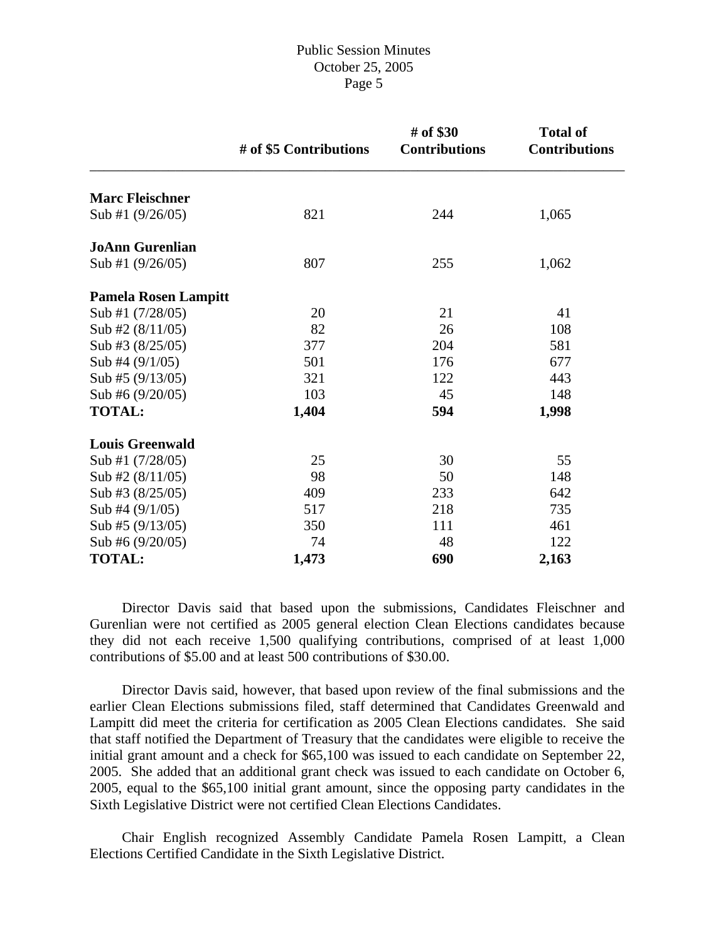|                             | # of \$5 Contributions | # of \$30<br><b>Contributions</b> | <b>Total of</b><br><b>Contributions</b> |
|-----------------------------|------------------------|-----------------------------------|-----------------------------------------|
| <b>Marc Fleischner</b>      |                        |                                   |                                         |
| Sub #1 $(9/26/05)$          | 821                    | 244                               | 1,065                                   |
| <b>JoAnn Gurenlian</b>      |                        |                                   |                                         |
| Sub #1 $(9/26/05)$          | 807                    | 255                               | 1,062                                   |
| <b>Pamela Rosen Lampitt</b> |                        |                                   |                                         |
| Sub #1 (7/28/05)            | 20                     | 21                                | 41                                      |
| Sub #2 $(8/11/05)$          | 82                     | 26                                | 108                                     |
| Sub #3 $(8/25/05)$          | 377                    | 204                               | 581                                     |
| Sub #4 $(9/1/05)$           | 501                    | 176                               | 677                                     |
| Sub #5 $(9/13/05)$          | 321                    | 122                               | 443                                     |
| Sub #6 $(9/20/05)$          | 103                    | 45                                | 148                                     |
| <b>TOTAL:</b>               | 1,404                  | 594                               | 1,998                                   |
| <b>Louis Greenwald</b>      |                        |                                   |                                         |
| Sub #1 (7/28/05)            | 25                     | 30                                | 55                                      |
| Sub #2 $(8/11/05)$          | 98                     | 50                                | 148                                     |
| Sub #3 (8/25/05)            | 409                    | 233                               | 642                                     |
| Sub #4 $(9/1/05)$           | 517                    | 218                               | 735                                     |
| Sub #5 $(9/13/05)$          | 350                    | 111                               | 461                                     |
| Sub #6 (9/20/05)            | 74                     | 48                                | 122                                     |
| <b>TOTAL:</b>               | 1,473                  | 690                               | 2,163                                   |

 Director Davis said that based upon the submissions, Candidates Fleischner and Gurenlian were not certified as 2005 general election Clean Elections candidates because they did not each receive 1,500 qualifying contributions, comprised of at least 1,000 contributions of \$5.00 and at least 500 contributions of \$30.00.

 Director Davis said, however, that based upon review of the final submissions and the earlier Clean Elections submissions filed, staff determined that Candidates Greenwald and Lampitt did meet the criteria for certification as 2005 Clean Elections candidates. She said that staff notified the Department of Treasury that the candidates were eligible to receive the initial grant amount and a check for \$65,100 was issued to each candidate on September 22, 2005. She added that an additional grant check was issued to each candidate on October 6, 2005, equal to the \$65,100 initial grant amount, since the opposing party candidates in the Sixth Legislative District were not certified Clean Elections Candidates.

 Chair English recognized Assembly Candidate Pamela Rosen Lampitt, a Clean Elections Certified Candidate in the Sixth Legislative District.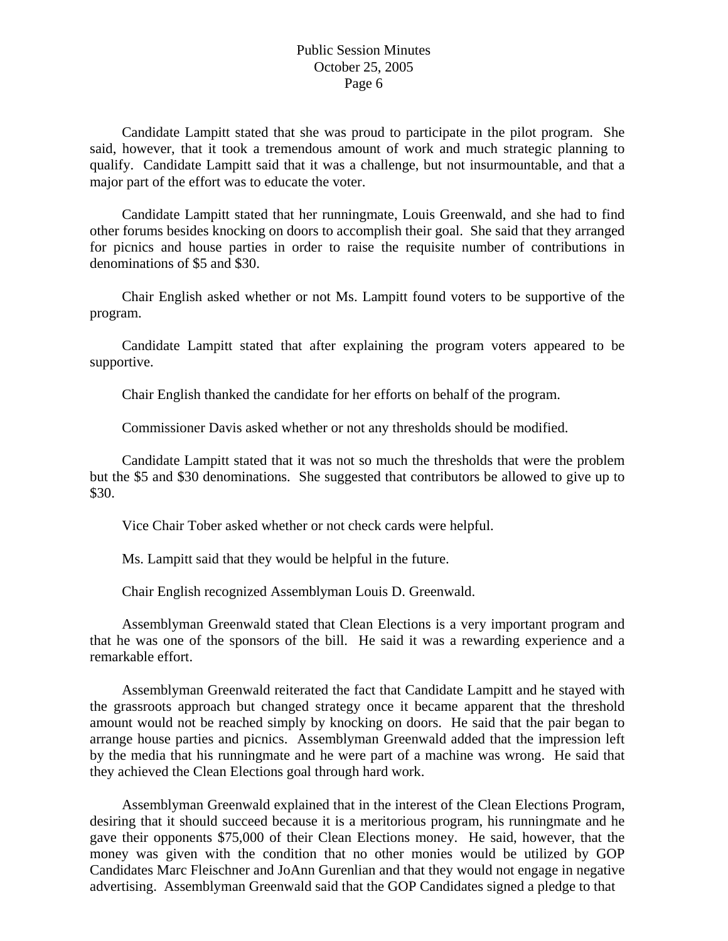Candidate Lampitt stated that she was proud to participate in the pilot program. She said, however, that it took a tremendous amount of work and much strategic planning to qualify. Candidate Lampitt said that it was a challenge, but not insurmountable, and that a major part of the effort was to educate the voter.

 Candidate Lampitt stated that her runningmate, Louis Greenwald, and she had to find other forums besides knocking on doors to accomplish their goal. She said that they arranged for picnics and house parties in order to raise the requisite number of contributions in denominations of \$5 and \$30.

 Chair English asked whether or not Ms. Lampitt found voters to be supportive of the program.

 Candidate Lampitt stated that after explaining the program voters appeared to be supportive.

Chair English thanked the candidate for her efforts on behalf of the program.

Commissioner Davis asked whether or not any thresholds should be modified.

 Candidate Lampitt stated that it was not so much the thresholds that were the problem but the \$5 and \$30 denominations. She suggested that contributors be allowed to give up to \$30.

Vice Chair Tober asked whether or not check cards were helpful.

Ms. Lampitt said that they would be helpful in the future.

Chair English recognized Assemblyman Louis D. Greenwald.

 Assemblyman Greenwald stated that Clean Elections is a very important program and that he was one of the sponsors of the bill. He said it was a rewarding experience and a remarkable effort.

 Assemblyman Greenwald reiterated the fact that Candidate Lampitt and he stayed with the grassroots approach but changed strategy once it became apparent that the threshold amount would not be reached simply by knocking on doors. He said that the pair began to arrange house parties and picnics. Assemblyman Greenwald added that the impression left by the media that his runningmate and he were part of a machine was wrong. He said that they achieved the Clean Elections goal through hard work.

 Assemblyman Greenwald explained that in the interest of the Clean Elections Program, desiring that it should succeed because it is a meritorious program, his runningmate and he gave their opponents \$75,000 of their Clean Elections money. He said, however, that the money was given with the condition that no other monies would be utilized by GOP Candidates Marc Fleischner and JoAnn Gurenlian and that they would not engage in negative advertising. Assemblyman Greenwald said that the GOP Candidates signed a pledge to that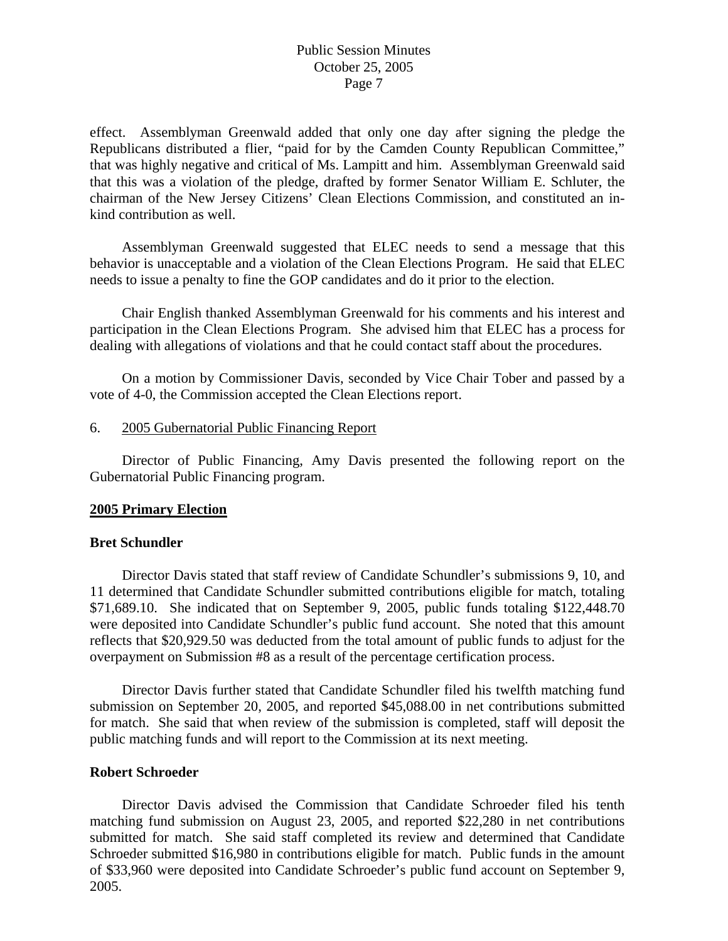effect. Assemblyman Greenwald added that only one day after signing the pledge the Republicans distributed a flier, "paid for by the Camden County Republican Committee," that was highly negative and critical of Ms. Lampitt and him. Assemblyman Greenwald said that this was a violation of the pledge, drafted by former Senator William E. Schluter, the chairman of the New Jersey Citizens' Clean Elections Commission, and constituted an inkind contribution as well.

 Assemblyman Greenwald suggested that ELEC needs to send a message that this behavior is unacceptable and a violation of the Clean Elections Program. He said that ELEC needs to issue a penalty to fine the GOP candidates and do it prior to the election.

 Chair English thanked Assemblyman Greenwald for his comments and his interest and participation in the Clean Elections Program. She advised him that ELEC has a process for dealing with allegations of violations and that he could contact staff about the procedures.

 On a motion by Commissioner Davis, seconded by Vice Chair Tober and passed by a vote of 4-0, the Commission accepted the Clean Elections report.

#### 6. 2005 Gubernatorial Public Financing Report

 Director of Public Financing, Amy Davis presented the following report on the Gubernatorial Public Financing program.

#### **2005 Primary Election**

#### **Bret Schundler**

 Director Davis stated that staff review of Candidate Schundler's submissions 9, 10, and 11 determined that Candidate Schundler submitted contributions eligible for match, totaling \$71,689.10. She indicated that on September 9, 2005, public funds totaling \$122,448.70 were deposited into Candidate Schundler's public fund account. She noted that this amount reflects that \$20,929.50 was deducted from the total amount of public funds to adjust for the overpayment on Submission #8 as a result of the percentage certification process.

 Director Davis further stated that Candidate Schundler filed his twelfth matching fund submission on September 20, 2005, and reported \$45,088.00 in net contributions submitted for match. She said that when review of the submission is completed, staff will deposit the public matching funds and will report to the Commission at its next meeting.

#### **Robert Schroeder**

 Director Davis advised the Commission that Candidate Schroeder filed his tenth matching fund submission on August 23, 2005, and reported \$22,280 in net contributions submitted for match. She said staff completed its review and determined that Candidate Schroeder submitted \$16,980 in contributions eligible for match. Public funds in the amount of \$33,960 were deposited into Candidate Schroeder's public fund account on September 9, 2005.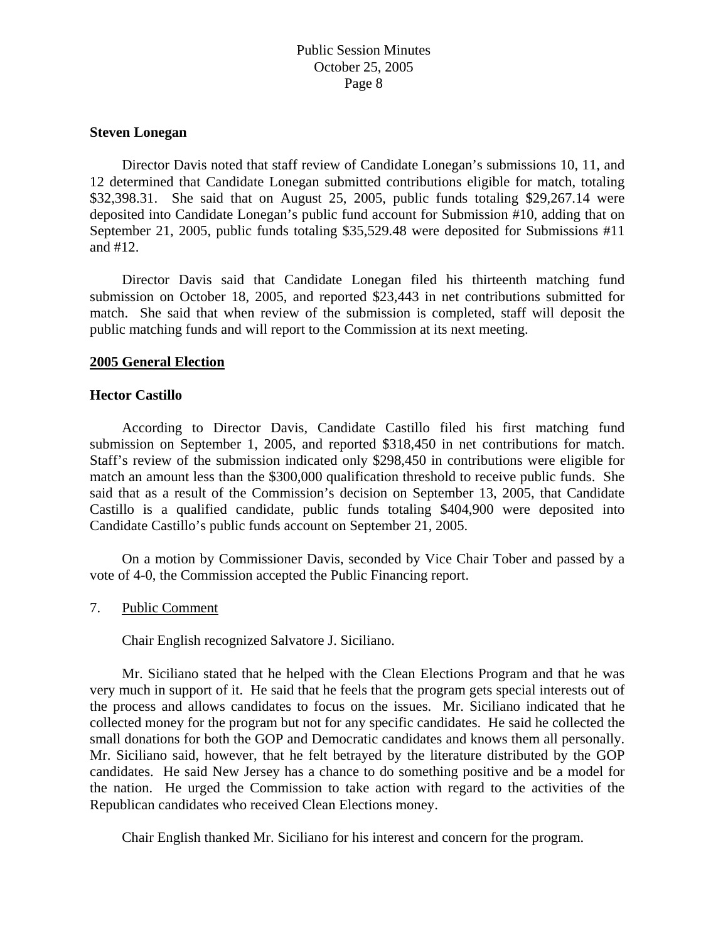#### **Steven Lonegan**

 Director Davis noted that staff review of Candidate Lonegan's submissions 10, 11, and 12 determined that Candidate Lonegan submitted contributions eligible for match, totaling \$32,398.31. She said that on August 25, 2005, public funds totaling \$29,267.14 were deposited into Candidate Lonegan's public fund account for Submission #10, adding that on September 21, 2005, public funds totaling \$35,529.48 were deposited for Submissions #11 and #12.

 Director Davis said that Candidate Lonegan filed his thirteenth matching fund submission on October 18, 2005, and reported \$23,443 in net contributions submitted for match. She said that when review of the submission is completed, staff will deposit the public matching funds and will report to the Commission at its next meeting.

# **2005 General Election**

#### **Hector Castillo**

 According to Director Davis, Candidate Castillo filed his first matching fund submission on September 1, 2005, and reported \$318,450 in net contributions for match. Staff's review of the submission indicated only \$298,450 in contributions were eligible for match an amount less than the \$300,000 qualification threshold to receive public funds. She said that as a result of the Commission's decision on September 13, 2005, that Candidate Castillo is a qualified candidate, public funds totaling \$404,900 were deposited into Candidate Castillo's public funds account on September 21, 2005.

 On a motion by Commissioner Davis, seconded by Vice Chair Tober and passed by a vote of 4-0, the Commission accepted the Public Financing report.

#### 7. Public Comment

Chair English recognized Salvatore J. Siciliano.

 Mr. Siciliano stated that he helped with the Clean Elections Program and that he was very much in support of it. He said that he feels that the program gets special interests out of the process and allows candidates to focus on the issues. Mr. Siciliano indicated that he collected money for the program but not for any specific candidates. He said he collected the small donations for both the GOP and Democratic candidates and knows them all personally. Mr. Siciliano said, however, that he felt betrayed by the literature distributed by the GOP candidates. He said New Jersey has a chance to do something positive and be a model for the nation. He urged the Commission to take action with regard to the activities of the Republican candidates who received Clean Elections money.

Chair English thanked Mr. Siciliano for his interest and concern for the program.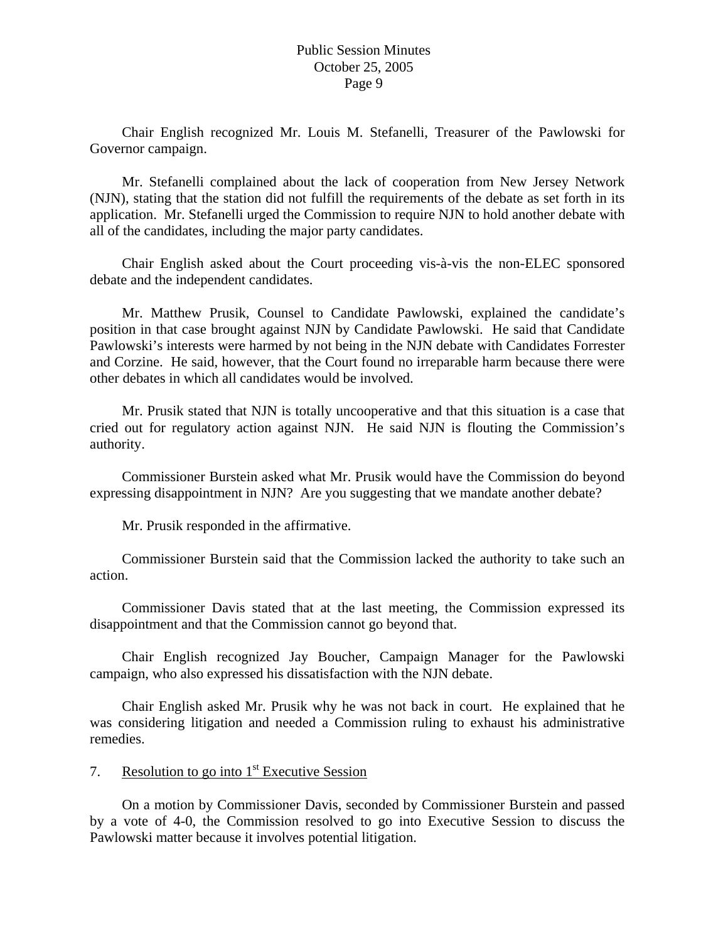Chair English recognized Mr. Louis M. Stefanelli, Treasurer of the Pawlowski for Governor campaign.

 Mr. Stefanelli complained about the lack of cooperation from New Jersey Network (NJN), stating that the station did not fulfill the requirements of the debate as set forth in its application. Mr. Stefanelli urged the Commission to require NJN to hold another debate with all of the candidates, including the major party candidates.

 Chair English asked about the Court proceeding vis-à-vis the non-ELEC sponsored debate and the independent candidates.

 Mr. Matthew Prusik, Counsel to Candidate Pawlowski, explained the candidate's position in that case brought against NJN by Candidate Pawlowski. He said that Candidate Pawlowski's interests were harmed by not being in the NJN debate with Candidates Forrester and Corzine. He said, however, that the Court found no irreparable harm because there were other debates in which all candidates would be involved.

 Mr. Prusik stated that NJN is totally uncooperative and that this situation is a case that cried out for regulatory action against NJN. He said NJN is flouting the Commission's authority.

 Commissioner Burstein asked what Mr. Prusik would have the Commission do beyond expressing disappointment in NJN? Are you suggesting that we mandate another debate?

Mr. Prusik responded in the affirmative.

 Commissioner Burstein said that the Commission lacked the authority to take such an action.

 Commissioner Davis stated that at the last meeting, the Commission expressed its disappointment and that the Commission cannot go beyond that.

 Chair English recognized Jay Boucher, Campaign Manager for the Pawlowski campaign, who also expressed his dissatisfaction with the NJN debate.

 Chair English asked Mr. Prusik why he was not back in court. He explained that he was considering litigation and needed a Commission ruling to exhaust his administrative remedies.

# 7. Resolution to go into  $1<sup>st</sup>$  Executive Session

 On a motion by Commissioner Davis, seconded by Commissioner Burstein and passed by a vote of 4-0, the Commission resolved to go into Executive Session to discuss the Pawlowski matter because it involves potential litigation.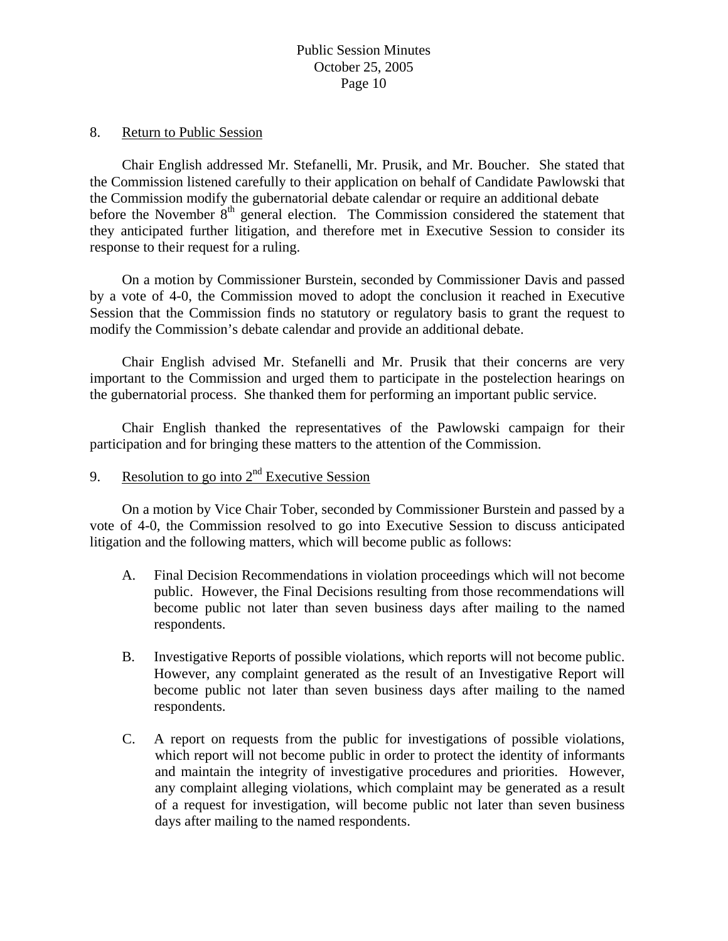#### 8. Return to Public Session

 Chair English addressed Mr. Stefanelli, Mr. Prusik, and Mr. Boucher. She stated that the Commission listened carefully to their application on behalf of Candidate Pawlowski that the Commission modify the gubernatorial debate calendar or require an additional debate before the November  $8<sup>th</sup>$  general election. The Commission considered the statement that they anticipated further litigation, and therefore met in Executive Session to consider its response to their request for a ruling.

 On a motion by Commissioner Burstein, seconded by Commissioner Davis and passed by a vote of 4-0, the Commission moved to adopt the conclusion it reached in Executive Session that the Commission finds no statutory or regulatory basis to grant the request to modify the Commission's debate calendar and provide an additional debate.

 Chair English advised Mr. Stefanelli and Mr. Prusik that their concerns are very important to the Commission and urged them to participate in the postelection hearings on the gubernatorial process. She thanked them for performing an important public service.

 Chair English thanked the representatives of the Pawlowski campaign for their participation and for bringing these matters to the attention of the Commission.

# 9. Resolution to go into  $2<sup>nd</sup>$  Executive Session

 On a motion by Vice Chair Tober, seconded by Commissioner Burstein and passed by a vote of 4-0, the Commission resolved to go into Executive Session to discuss anticipated litigation and the following matters, which will become public as follows:

- A. Final Decision Recommendations in violation proceedings which will not become public. However, the Final Decisions resulting from those recommendations will become public not later than seven business days after mailing to the named respondents.
- B. Investigative Reports of possible violations, which reports will not become public. However, any complaint generated as the result of an Investigative Report will become public not later than seven business days after mailing to the named respondents.
- C. A report on requests from the public for investigations of possible violations, which report will not become public in order to protect the identity of informants and maintain the integrity of investigative procedures and priorities. However, any complaint alleging violations, which complaint may be generated as a result of a request for investigation, will become public not later than seven business days after mailing to the named respondents.